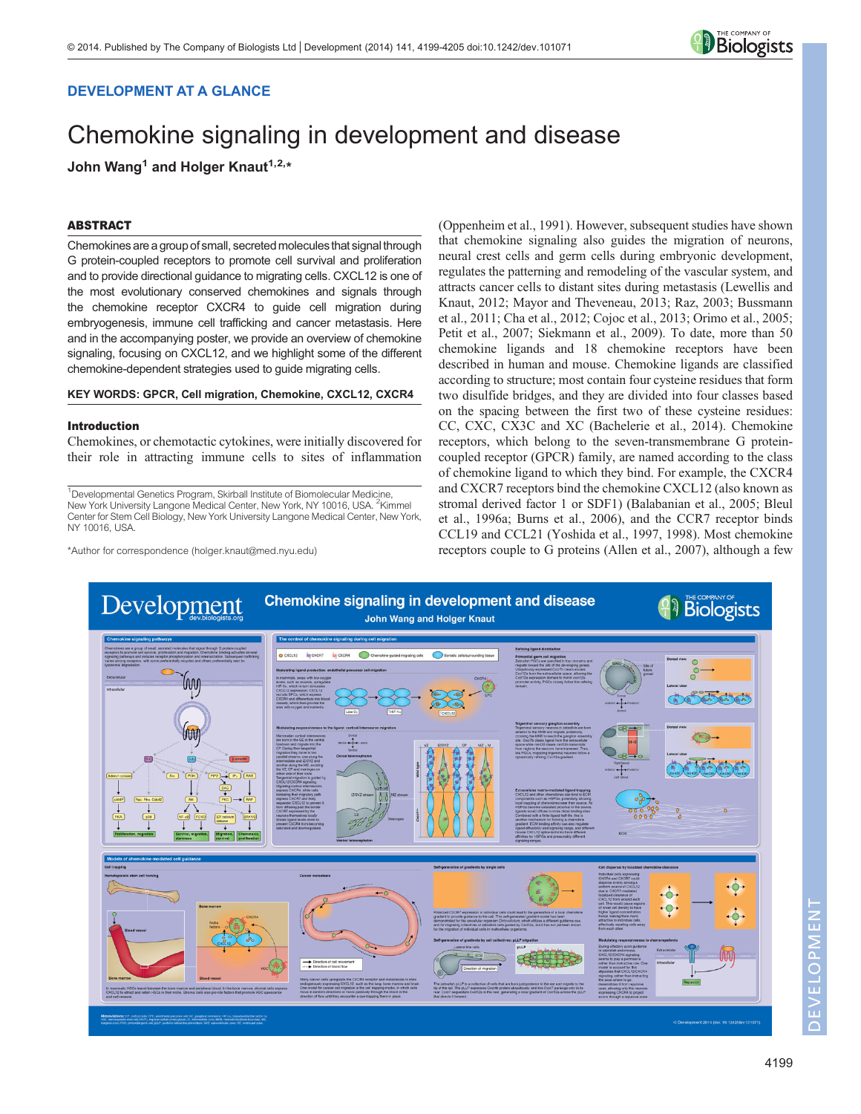

# DEVELOPMENT AT A GLANCE

# Chemokine signaling in development and disease

John Wang<sup>1</sup> and Holger Knaut<sup>1,2,\*</sup>

## ABSTRACT

Chemokines are a group of small, secreted moleculesthat signal through G protein-coupled receptors to promote cell survival and proliferation and to provide directional guidance to migrating cells. CXCL12 is one of the most evolutionary conserved chemokines and signals through the chemokine receptor CXCR4 to guide cell migration during embryogenesis, immune cell trafficking and cancer metastasis. Here and in the accompanying poster, we provide an overview of chemokine signaling, focusing on CXCL12, and we highlight some of the different chemokine-dependent strategies used to guide migrating cells.

## KEY WORDS: GPCR, Cell migration, Chemokine, CXCL12, CXCR4

#### Introduction

Chemokines, or chemotactic cytokines, were initially discovered for their role in attracting immune cells to sites of inflammation

<sup>1</sup>Developmental Genetics Program, Skirball Institute of Biomolecular Medicine, New York University Langone Medical Center, New York, NY 10016, USA. <sup>2</sup>Kimmel Center for Stem Cell Biology, New York University Langone Medical Center, New York, NY 10016, USA.

\*Author for correspondence (holger.knaut@med.nyu.edu)

[\(Oppenheim et al., 1991](#page-5-0)). However, subsequent studies have shown that chemokine signaling also guides the migration of neurons, neural crest cells and germ cells during embryonic development, regulates the patterning and remodeling of the vascular system, and attracts cancer cells to distant sites during metastasis ([Lewellis and](#page-4-0) [Knaut, 2012](#page-4-0); [Mayor and Theveneau, 2013; Raz, 2003](#page-5-0); [Bussmann](#page-4-0) [et al., 2011; Cha et al., 2012](#page-4-0); [Cojoc et al., 2013](#page-4-0); [Orimo et al., 2005](#page-5-0); [Petit et al., 2007; Siekmann et al., 2009](#page-5-0)). To date, more than 50 chemokine ligands and 18 chemokine receptors have been described in human and mouse. Chemokine ligands are classified according to structure; most contain four cysteine residues that form two disulfide bridges, and they are divided into four classes based on the spacing between the first two of these cysteine residues: CC, CXC, CX3C and XC [\(Bachelerie et al., 2014](#page-4-0)). Chemokine receptors, which belong to the seven-transmembrane G proteincoupled receptor (GPCR) family, are named according to the class of chemokine ligand to which they bind. For example, the CXCR4 and CXCR7 receptors bind the chemokine CXCL12 (also known as stromal derived factor 1 or SDF1) ([Balabanian et al., 2005; Bleul](#page-4-0) [et al., 1996a](#page-4-0); [Burns et al., 2006](#page-4-0)), and the CCR7 receptor binds CCL19 and CCL21 [\(Yoshida et al., 1997, 1998\)](#page-6-0). Most chemokine receptors couple to G proteins ([Allen et al., 2007](#page-4-0)), although a few



DEVELOPMENT

 $\geq$ 

ELOPMEN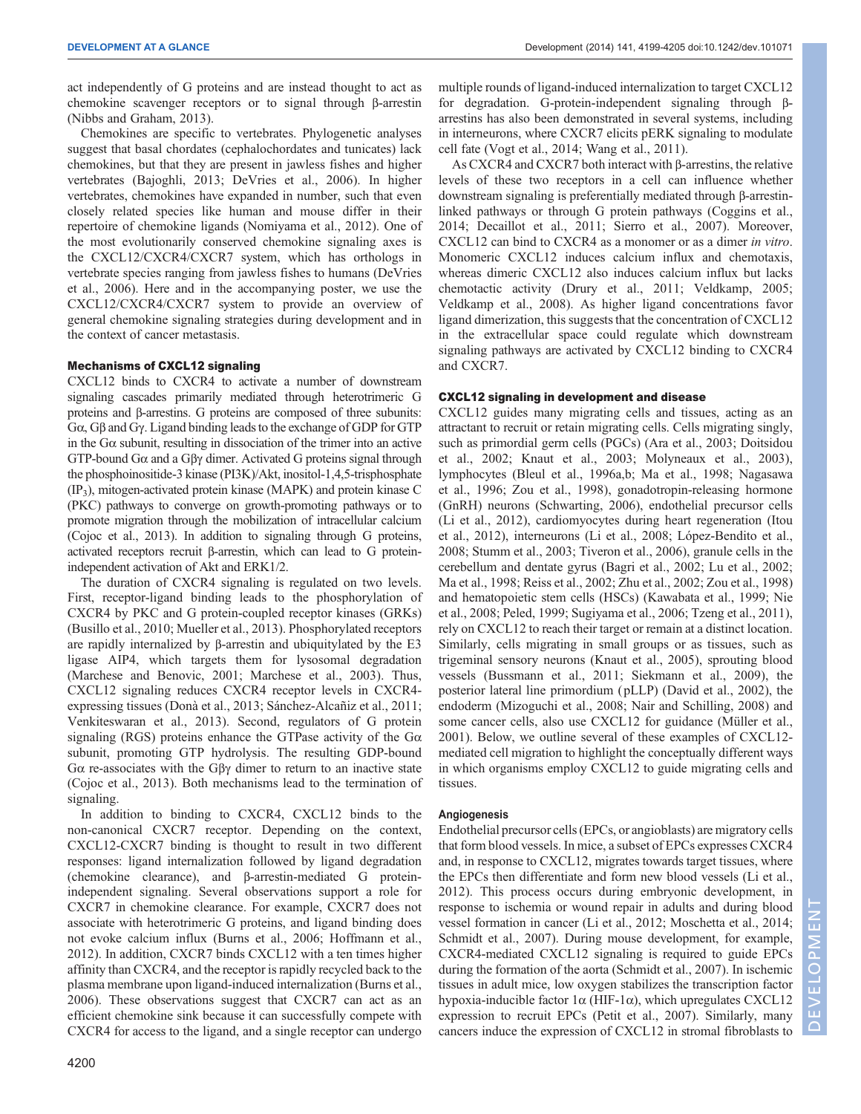act independently of G proteins and are instead thought to act as chemokine scavenger receptors or to signal through β-arrestin [\(Nibbs and Graham, 2013\)](#page-5-0).

Chemokines are specific to vertebrates. Phylogenetic analyses suggest that basal chordates (cephalochordates and tunicates) lack chemokines, but that they are present in jawless fishes and higher vertebrates [\(Bajoghli, 2013; DeVries et al., 2006](#page-4-0)). In higher vertebrates, chemokines have expanded in number, such that even closely related species like human and mouse differ in their repertoire of chemokine ligands [\(Nomiyama et al., 2012\)](#page-5-0). One of the most evolutionarily conserved chemokine signaling axes is the CXCL12/CXCR4/CXCR7 system, which has orthologs in vertebrate species ranging from jawless fishes to humans ([DeVries](#page-4-0) [et al., 2006](#page-4-0)). Here and in the accompanying poster, we use the CXCL12/CXCR4/CXCR7 system to provide an overview of general chemokine signaling strategies during development and in the context of cancer metastasis.

#### Mechanisms of CXCL12 signaling

CXCL12 binds to CXCR4 to activate a number of downstream signaling cascades primarily mediated through heterotrimeric G proteins and β-arrestins. G proteins are composed of three subunits: Gα, Gβ and Gγ. Ligand binding leads to the exchange of GDP for GTP in the  $G\alpha$  subunit, resulting in dissociation of the trimer into an active GTP-bound Gα and a Gβγ dimer. Activated G proteins signal through the phosphoinositide-3 kinase (PI3K)/Akt, inositol-1,4,5-trisphosphate (IP3), mitogen-activated protein kinase (MAPK) and protein kinase C (PKC) pathways to converge on growth-promoting pathways or to promote migration through the mobilization of intracellular calcium [\(Cojoc et al., 2013](#page-4-0)). In addition to signaling through G proteins, activated receptors recruit β-arrestin, which can lead to G proteinindependent activation of Akt and ERK1/2.

The duration of CXCR4 signaling is regulated on two levels. First, receptor-ligand binding leads to the phosphorylation of CXCR4 by PKC and G protein-coupled receptor kinases (GRKs) [\(Busillo et al., 2010](#page-4-0); [Mueller et al., 2013](#page-5-0)). Phosphorylated receptors are rapidly internalized by β-arrestin and ubiquitylated by the E3 ligase AIP4, which targets them for lysosomal degradation [\(Marchese and Benovic, 2001](#page-5-0); [Marchese et al., 2003\)](#page-5-0). Thus, CXCL12 signaling reduces CXCR4 receptor levels in CXCR4 expressing tissues ([Donà et al., 2013;](#page-4-0) [Sánchez-Alcañiz et al., 2011](#page-5-0); [Venkiteswaran et al., 2013\)](#page-6-0). Second, regulators of G protein signaling (RGS) proteins enhance the GTPase activity of the  $G\alpha$ subunit, promoting GTP hydrolysis. The resulting GDP-bound Gα re-associates with the Gβγ dimer to return to an inactive state [\(Cojoc et al., 2013\)](#page-4-0). Both mechanisms lead to the termination of signaling.

In addition to binding to CXCR4, CXCL12 binds to the non-canonical CXCR7 receptor. Depending on the context, CXCL12-CXCR7 binding is thought to result in two different responses: ligand internalization followed by ligand degradation (chemokine clearance), and β-arrestin-mediated G proteinindependent signaling. Several observations support a role for CXCR7 in chemokine clearance. For example, CXCR7 does not associate with heterotrimeric G proteins, and ligand binding does not evoke calcium influx ([Burns et al., 2006; Hoffmann et al.,](#page-4-0) [2012](#page-4-0)). In addition, CXCR7 binds CXCL12 with a ten times higher affinity than CXCR4, and the receptor is rapidly recycled back to the plasma membrane upon ligand-induced internalization ([Burns et al.,](#page-4-0) [2006](#page-4-0)). These observations suggest that CXCR7 can act as an efficient chemokine sink because it can successfully compete with CXCR4 for access to the ligand, and a single receptor can undergo

multiple rounds of ligand-induced internalization to target CXCL12 for degradation. G-protein-independent signaling through βarrestins has also been demonstrated in several systems, including in interneurons, where CXCR7 elicits pERK signaling to modulate cell fate ([Vogt et al., 2014; Wang et al., 2011](#page-6-0)).

As CXCR4 and CXCR7 both interact with β-arrestins, the relative levels of these two receptors in a cell can influence whether downstream signaling is preferentially mediated through β-arrestinlinked pathways or through G protein pathways [\(Coggins et al.,](#page-4-0) [2014; Decaillot et al., 2011](#page-4-0); [Sierro et al., 2007\)](#page-5-0). Moreover, CXCL12 can bind to CXCR4 as a monomer or as a dimer in vitro. Monomeric CXCL12 induces calcium influx and chemotaxis, whereas dimeric CXCL12 also induces calcium influx but lacks chemotactic activity ([Drury et al., 2011;](#page-4-0) [Veldkamp, 2005](#page-6-0); [Veldkamp et al., 2008\)](#page-6-0). As higher ligand concentrations favor ligand dimerization, this suggests that the concentration of CXCL12 in the extracellular space could regulate which downstream signaling pathways are activated by CXCL12 binding to CXCR4 and CXCR7.

#### CXCL12 signaling in development and disease

CXCL12 guides many migrating cells and tissues, acting as an attractant to recruit or retain migrating cells. Cells migrating singly, such as primordial germ cells (PGCs) ([Ara et al., 2003](#page-4-0); [Doitsidou](#page-4-0) [et al., 2002; Knaut et al., 2003](#page-4-0); [Molyneaux et al., 2003\)](#page-5-0), lymphocytes ([Bleul et al., 1996a](#page-4-0),[b](#page-4-0); [Ma et al., 1998; Nagasawa](#page-5-0) [et al., 1996;](#page-5-0) [Zou et al., 1998\)](#page-6-0), gonadotropin-releasing hormone (GnRH) neurons ([Schwarting, 2006](#page-5-0)), endothelial precursor cells [\(Li et al., 2012](#page-5-0)), cardiomyocytes during heart regeneration ([Itou](#page-4-0) [et al., 2012\)](#page-4-0), interneurons [\(Li et al., 2008; López-Bendito et al.,](#page-5-0) [2008; Stumm et al., 2003](#page-5-0); [Tiveron et al., 2006](#page-5-0)), granule cells in the cerebellum and dentate gyrus ([Bagri et al., 2002;](#page-4-0) [Lu et al., 2002](#page-5-0); [Ma et al., 1998; Reiss et al., 2002](#page-5-0); [Zhu et al., 2002](#page-6-0); [Zou et al., 1998\)](#page-6-0) and hematopoietic stem cells (HSCs) ([Kawabata et al., 1999;](#page-4-0) [Nie](#page-5-0) [et al., 2008](#page-5-0); [Peled, 1999; Sugiyama et al., 2006](#page-5-0); [Tzeng et al., 2011\)](#page-5-0), rely on CXCL12 to reach their target or remain at a distinct location. Similarly, cells migrating in small groups or as tissues, such as trigeminal sensory neurons [\(Knaut et al., 2005](#page-4-0)), sprouting blood vessels [\(Bussmann et al., 2011;](#page-4-0) [Siekmann et al., 2009](#page-5-0)), the posterior lateral line primordium ( pLLP) [\(David et al., 2002\)](#page-4-0), the endoderm ([Mizoguchi et al., 2008; Nair and Schilling, 2008](#page-5-0)) and some cancer cells, also use CXCL12 for guidance ([Müller et al.,](#page-5-0) [2001\)](#page-5-0). Below, we outline several of these examples of CXCL12 mediated cell migration to highlight the conceptually different ways in which organisms employ CXCL12 to guide migrating cells and tissues.

## Angiogenesis

Endothelial precursor cells (EPCs, or angioblasts) are migratory cells that form blood vessels. In mice, a subset of EPCs expresses CXCR4 and, in response to CXCL12, migrates towards target tissues, where the EPCs then differentiate and form new blood vessels [\(Li et al.,](#page-5-0) [2012\)](#page-5-0). This process occurs during embryonic development, in response to ischemia or wound repair in adults and during blood vessel formation in cancer [\(Li et al., 2012](#page-5-0); [Moschetta et al., 2014](#page-5-0); [Schmidt et al., 2007](#page-5-0)). During mouse development, for example, CXCR4-mediated CXCL12 signaling is required to guide EPCs during the formation of the aorta [\(Schmidt et al., 2007](#page-5-0)). In ischemic tissues in adult mice, low oxygen stabilizes the transcription factor hypoxia-inducible factor  $1α$  (HIF- $1α$ ), which upregulates CXCL12 expression to recruit EPCs ([Petit et al., 2007\)](#page-5-0). Similarly, many cancers induce the expression of CXCL12 in stromal fibroblasts to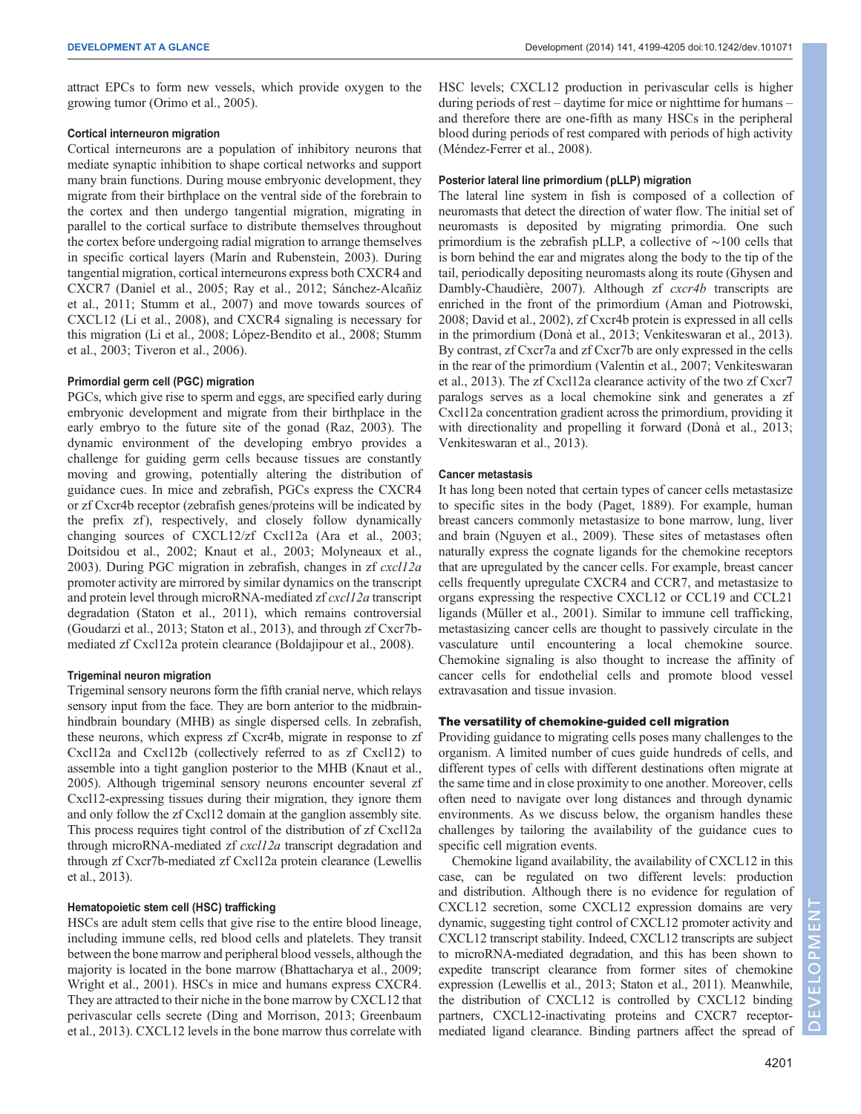attract EPCs to form new vessels, which provide oxygen to the growing tumor [\(Orimo et al., 2005](#page-5-0)).

#### Cortical interneuron migration

Cortical interneurons are a population of inhibitory neurons that mediate synaptic inhibition to shape cortical networks and support many brain functions. During mouse embryonic development, they migrate from their birthplace on the ventral side of the forebrain to the cortex and then undergo tangential migration, migrating in parallel to the cortical surface to distribute themselves throughout the cortex before undergoing radial migration to arrange themselves in specific cortical layers ([Marín and Rubenstein, 2003](#page-5-0)). During tangential migration, cortical interneurons express both CXCR4 and CXCR7 ([Daniel et al., 2005;](#page-4-0) [Ray et al., 2012; Sánchez-Alcañiz](#page-5-0) [et al., 2011](#page-5-0); [Stumm et al., 2007\)](#page-5-0) and move towards sources of CXCL12 ([Li et al., 2008\)](#page-5-0), and CXCR4 signaling is necessary for this migration [\(Li et al., 2008](#page-5-0); [López-Bendito et al., 2008](#page-5-0); [Stumm](#page-5-0) [et al., 2003; Tiveron et al., 2006](#page-5-0)).

#### Primordial germ cell (PGC) migration

PGCs, which give rise to sperm and eggs, are specified early during embryonic development and migrate from their birthplace in the early embryo to the future site of the gonad ([Raz, 2003](#page-5-0)). The dynamic environment of the developing embryo provides a challenge for guiding germ cells because tissues are constantly moving and growing, potentially altering the distribution of guidance cues. In mice and zebrafish, PGCs express the CXCR4 or zf Cxcr4b receptor (zebrafish genes/proteins will be indicated by the prefix zf), respectively, and closely follow dynamically changing sources of CXCL12/zf Cxcl12a [\(Ara et al., 2003](#page-4-0); [Doitsidou et al., 2002; Knaut et al., 2003;](#page-4-0) [Molyneaux et al.,](#page-5-0) [2003](#page-5-0)). During PGC migration in zebrafish, changes in zf cxcl12a promoter activity are mirrored by similar dynamics on the transcript and protein level through microRNA-mediated zf cxcl12a transcript degradation [\(Staton et al., 2011\)](#page-5-0), which remains controversial [\(Goudarzi et al., 2013;](#page-4-0) [Staton et al., 2013\)](#page-5-0), and through zf Cxcr7bmediated zf Cxcl12a protein clearance [\(Boldajipour et al., 2008](#page-4-0)).

## Trigeminal neuron migration

Trigeminal sensory neurons form the fifth cranial nerve, which relays sensory input from the face. They are born anterior to the midbrainhindbrain boundary (MHB) as single dispersed cells. In zebrafish, these neurons, which express zf Cxcr4b, migrate in response to zf Cxcl12a and Cxcl12b (collectively referred to as zf Cxcl12) to assemble into a tight ganglion posterior to the MHB [\(Knaut et al.,](#page-4-0) [2005\)](#page-4-0). Although trigeminal sensory neurons encounter several zf Cxcl12-expressing tissues during their migration, they ignore them and only follow the zf Cxcl12 domain at the ganglion assembly site. This process requires tight control of the distribution of zf Cxcl12a through microRNA-mediated zf cxcl12a transcript degradation and through zf Cxcr7b-mediated zf Cxcl12a protein clearance ([Lewellis](#page-4-0) [et al., 2013](#page-4-0)).

## Hematopoietic stem cell (HSC) trafficking

HSCs are adult stem cells that give rise to the entire blood lineage, including immune cells, red blood cells and platelets. They transit between the bone marrow and peripheral blood vessels, although the majority is located in the bone marrow [\(Bhattacharya et al., 2009](#page-4-0); [Wright et al., 2001](#page-6-0)). HSCs in mice and humans express CXCR4. They are attracted to their niche in the bone marrow by CXCL12 that perivascular cells secrete [\(Ding and Morrison, 2013](#page-4-0); [Greenbaum](#page-4-0) [et al., 2013](#page-4-0)). CXCL12 levels in the bone marrow thus correlate with

HSC levels; CXCL12 production in perivascular cells is higher during periods of rest – daytime for mice or nighttime for humans – and therefore there are one-fifth as many HSCs in the peripheral blood during periods of rest compared with periods of high activity [\(Méndez-Ferrer et al., 2008\)](#page-5-0).

#### Posterior lateral line primordium (pLLP) migration

The lateral line system in fish is composed of a collection of neuromasts that detect the direction of water flow. The initial set of neuromasts is deposited by migrating primordia. One such primordium is the zebrafish pLLP, a collective of ∼100 cells that is born behind the ear and migrates along the body to the tip of the tail, periodically depositing neuromasts along its route ([Ghysen and](#page-4-0) Dambly-Chaudière, 2007). Although zf *cxcr4b* transcripts are enriched in the front of the primordium [\(Aman and Piotrowski,](#page-4-0) [2008; David et al., 2002\)](#page-4-0), zf Cxcr4b protein is expressed in all cells in the primordium ([Donà et al., 2013](#page-4-0); [Venkiteswaran et al., 2013\)](#page-6-0). By contrast, zf Cxcr7a and zf Cxcr7b are only expressed in the cells in the rear of the primordium ([Valentin et al., 2007](#page-5-0); [Venkiteswaran](#page-6-0) [et al., 2013](#page-6-0)). The zf Cxcl12a clearance activity of the two zf Cxcr7 paralogs serves as a local chemokine sink and generates a zf Cxcl12a concentration gradient across the primordium, providing it with directionality and propelling it forward ([Donà et al., 2013](#page-4-0); [Venkiteswaran et al., 2013](#page-6-0)).

#### Cancer metastasis

It has long been noted that certain types of cancer cells metastasize to specific sites in the body ([Paget, 1889\)](#page-5-0). For example, human breast cancers commonly metastasize to bone marrow, lung, liver and brain [\(Nguyen et al., 2009\)](#page-5-0). These sites of metastases often naturally express the cognate ligands for the chemokine receptors that are upregulated by the cancer cells. For example, breast cancer cells frequently upregulate CXCR4 and CCR7, and metastasize to organs expressing the respective CXCL12 or CCL19 and CCL21 ligands ([Müller et al., 2001\)](#page-5-0). Similar to immune cell trafficking, metastasizing cancer cells are thought to passively circulate in the vasculature until encountering a local chemokine source. Chemokine signaling is also thought to increase the affinity of cancer cells for endothelial cells and promote blood vessel extravasation and tissue invasion.

# The versatility of chemokine-guided cell migration

Providing guidance to migrating cells poses many challenges to the organism. A limited number of cues guide hundreds of cells, and different types of cells with different destinations often migrate at the same time and in close proximity to one another. Moreover, cells often need to navigate over long distances and through dynamic environments. As we discuss below, the organism handles these challenges by tailoring the availability of the guidance cues to specific cell migration events.

Chemokine ligand availability, the availability of CXCL12 in this case, can be regulated on two different levels: production and distribution. Although there is no evidence for regulation of CXCL12 secretion, some CXCL12 expression domains are very dynamic, suggesting tight control of CXCL12 promoter activity and CXCL12 transcript stability. Indeed, CXCL12 transcripts are subject to microRNA-mediated degradation, and this has been shown to expedite transcript clearance from former sites of chemokine expression [\(Lewellis et al., 2013](#page-4-0); [Staton et al., 2011](#page-5-0)). Meanwhile, the distribution of CXCL12 is controlled by CXCL12 binding partners, CXCL12-inactivating proteins and CXCR7 receptormediated ligand clearance. Binding partners affect the spread of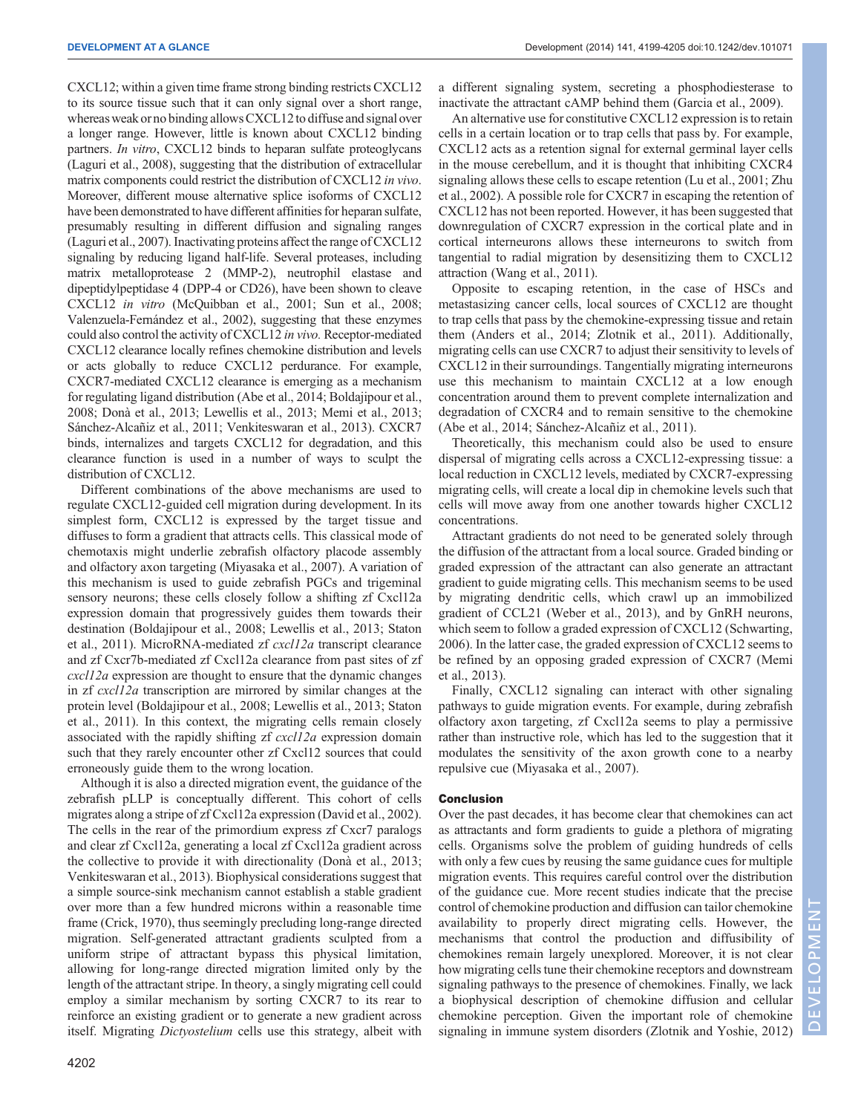CXCL12; within a given time frame strong binding restricts CXCL12 to its source tissue such that it can only signal over a short range, whereas weak or no binding allows CXCL12 to diffuse and signal over a longer range. However, little is known about CXCL12 binding partners. In vitro, CXCL12 binds to heparan sulfate proteoglycans [\(Laguri et al., 2008\)](#page-4-0), suggesting that the distribution of extracellular matrix components could restrict the distribution of CXCL12 in vivo. Moreover, different mouse alternative splice isoforms of CXCL12 have been demonstrated to have different affinities for heparan sulfate, presumably resulting in different diffusion and signaling ranges [\(Laguri et al., 2007\)](#page-4-0). Inactivating proteins affect the range of CXCL12 signaling by reducing ligand half-life. Several proteases, including matrix metalloprotease 2 (MMP-2), neutrophil elastase and dipeptidylpeptidase 4 (DPP-4 or CD26), have been shown to cleave CXCL12 in vitro ([McQuibban et al., 2001](#page-5-0); [Sun et al., 2008](#page-5-0); [Valenzuela-Fernández et al., 2002\)](#page-5-0), suggesting that these enzymes could also control the activity of CXCL12 in vivo. Receptor-mediated CXCL12 clearance locally refines chemokine distribution and levels or acts globally to reduce CXCL12 perdurance. For example, CXCR7-mediated CXCL12 clearance is emerging as a mechanism for regulating ligand distribution ([Abe et al., 2014; Boldajipour et al.,](#page-4-0) [2008; Donà et al., 2013](#page-4-0); [Lewellis et al., 2013;](#page-4-0) [Memi et al., 2013](#page-5-0); [Sánchez-Alcañiz et al., 2011;](#page-5-0) [Venkiteswaran et al., 2013](#page-6-0)). CXCR7 binds, internalizes and targets CXCL12 for degradation, and this clearance function is used in a number of ways to sculpt the distribution of CXCL12.

Different combinations of the above mechanisms are used to regulate CXCL12-guided cell migration during development. In its simplest form, CXCL12 is expressed by the target tissue and diffuses to form a gradient that attracts cells. This classical mode of chemotaxis might underlie zebrafish olfactory placode assembly and olfactory axon targeting [\(Miyasaka et al., 2007](#page-5-0)). A variation of this mechanism is used to guide zebrafish PGCs and trigeminal sensory neurons; these cells closely follow a shifting zf Cxcl12a expression domain that progressively guides them towards their destination [\(Boldajipour et al., 2008](#page-4-0); [Lewellis et al., 2013](#page-4-0); [Staton](#page-5-0) [et al., 2011\)](#page-5-0). MicroRNA-mediated zf cxcl12a transcript clearance and zf Cxcr7b-mediated zf Cxcl12a clearance from past sites of zf cxcl12a expression are thought to ensure that the dynamic changes in zf cxcl12a transcription are mirrored by similar changes at the protein level [\(Boldajipour et al., 2008; Lewellis et al., 2013](#page-4-0); [Staton](#page-5-0) [et al., 2011](#page-5-0)). In this context, the migrating cells remain closely associated with the rapidly shifting zf cxcl12a expression domain such that they rarely encounter other zf Cxcl12 sources that could erroneously guide them to the wrong location.

Although it is also a directed migration event, the guidance of the zebrafish pLLP is conceptually different. This cohort of cells migrates along a stripe of zf Cxcl12a expression [\(David et al., 2002\)](#page-4-0). The cells in the rear of the primordium express zf Cxcr7 paralogs and clear zf Cxcl12a, generating a local zf Cxcl12a gradient across the collective to provide it with directionality ([Donà et al., 2013](#page-4-0); [Venkiteswaran et al., 2013](#page-6-0)). Biophysical considerations suggest that a simple source-sink mechanism cannot establish a stable gradient over more than a few hundred microns within a reasonable time frame ([Crick, 1970](#page-4-0)), thus seemingly precluding long-range directed migration. Self-generated attractant gradients sculpted from a uniform stripe of attractant bypass this physical limitation, allowing for long-range directed migration limited only by the length of the attractant stripe. In theory, a singly migrating cell could employ a similar mechanism by sorting CXCR7 to its rear to reinforce an existing gradient or to generate a new gradient across itself. Migrating Dictyostelium cells use this strategy, albeit with

a different signaling system, secreting a phosphodiesterase to inactivate the attractant cAMP behind them [\(Garcia et al., 2009](#page-4-0)).

An alternative use for constitutive CXCL12 expression is to retain cells in a certain location or to trap cells that pass by. For example, CXCL12 acts as a retention signal for external germinal layer cells in the mouse cerebellum, and it is thought that inhibiting CXCR4 signaling allows these cells to escape retention [\(Lu et al., 2001](#page-5-0); [Zhu](#page-6-0) [et al., 2002](#page-6-0)). A possible role for CXCR7 in escaping the retention of CXCL12 has not been reported. However, it has been suggested that downregulation of CXCR7 expression in the cortical plate and in cortical interneurons allows these interneurons to switch from tangential to radial migration by desensitizing them to CXCL12 attraction ([Wang et al., 2011\)](#page-6-0).

Opposite to escaping retention, in the case of HSCs and metastasizing cancer cells, local sources of CXCL12 are thought to trap cells that pass by the chemokine-expressing tissue and retain them ([Anders et al., 2014](#page-4-0); [Zlotnik et al., 2011\)](#page-6-0). Additionally, migrating cells can use CXCR7 to adjust their sensitivity to levels of CXCL12 in their surroundings. Tangentially migrating interneurons use this mechanism to maintain CXCL12 at a low enough concentration around them to prevent complete internalization and degradation of CXCR4 and to remain sensitive to the chemokine [\(Abe et al., 2014](#page-4-0); [Sánchez-Alcañiz et al., 2011](#page-5-0)).

Theoretically, this mechanism could also be used to ensure dispersal of migrating cells across a CXCL12-expressing tissue: a local reduction in CXCL12 levels, mediated by CXCR7-expressing migrating cells, will create a local dip in chemokine levels such that cells will move away from one another towards higher CXCL12 concentrations.

Attractant gradients do not need to be generated solely through the diffusion of the attractant from a local source. Graded binding or graded expression of the attractant can also generate an attractant gradient to guide migrating cells. This mechanism seems to be used by migrating dendritic cells, which crawl up an immobilized gradient of CCL21 [\(Weber et al., 2013](#page-6-0)), and by GnRH neurons, which seem to follow a graded expression of CXCL12 ([Schwarting,](#page-5-0) [2006\)](#page-5-0). In the latter case, the graded expression of CXCL12 seems to be refined by an opposing graded expression of CXCR7 [\(Memi](#page-5-0) [et al., 2013\)](#page-5-0).

Finally, CXCL12 signaling can interact with other signaling pathways to guide migration events. For example, during zebrafish olfactory axon targeting, zf Cxcl12a seems to play a permissive rather than instructive role, which has led to the suggestion that it modulates the sensitivity of the axon growth cone to a nearby repulsive cue ([Miyasaka et al., 2007](#page-5-0)).

## Conclusion

Over the past decades, it has become clear that chemokines can act as attractants and form gradients to guide a plethora of migrating cells. Organisms solve the problem of guiding hundreds of cells with only a few cues by reusing the same guidance cues for multiple migration events. This requires careful control over the distribution of the guidance cue. More recent studies indicate that the precise control of chemokine production and diffusion can tailor chemokine availability to properly direct migrating cells. However, the mechanisms that control the production and diffusibility of chemokines remain largely unexplored. Moreover, it is not clear how migrating cells tune their chemokine receptors and downstream signaling pathways to the presence of chemokines. Finally, we lack a biophysical description of chemokine diffusion and cellular chemokine perception. Given the important role of chemokine signaling in immune system disorders ([Zlotnik and Yoshie, 2012\)](#page-6-0)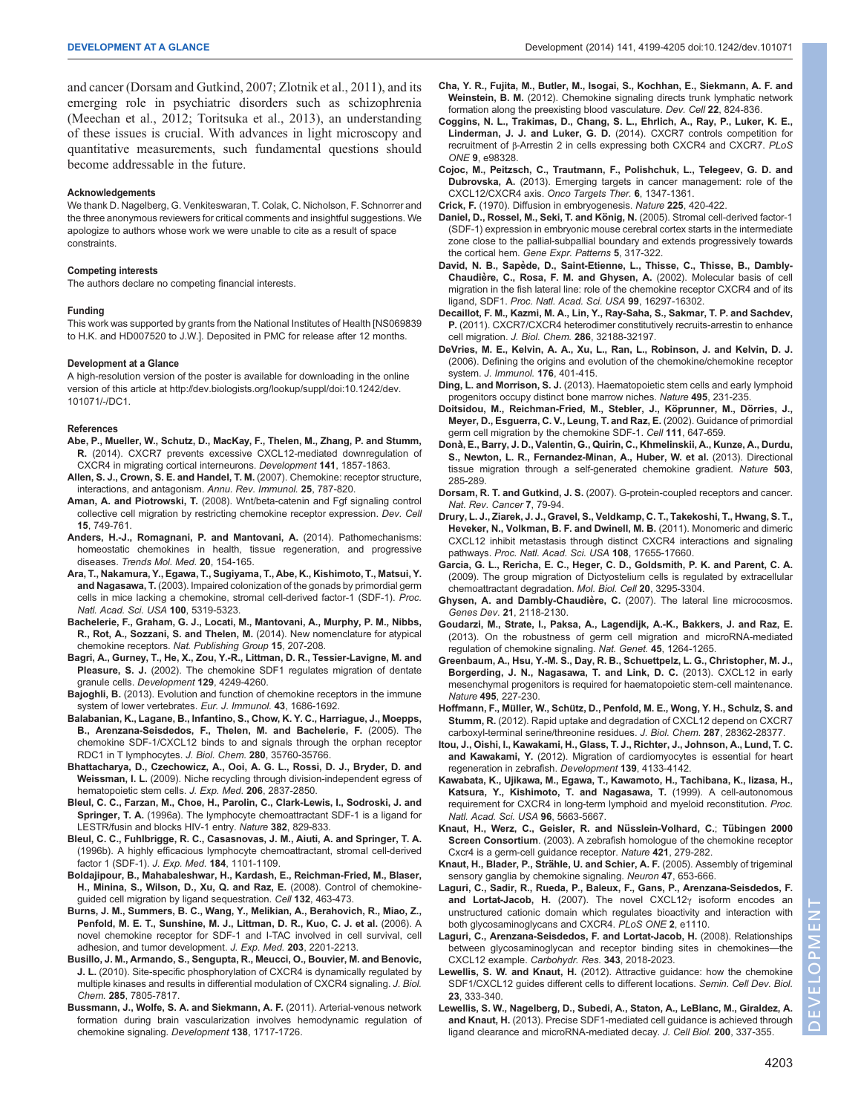<span id="page-4-0"></span>and cancer (Dorsam and Gutkind, 2007; [Zlotnik et al., 2011](#page-6-0)), and its emerging role in psychiatric disorders such as schizophrenia [\(Meechan et al., 2012](#page-5-0); [Toritsuka et al., 2013\)](#page-5-0), an understanding of these issues is crucial. With advances in light microscopy and quantitative measurements, such fundamental questions should become addressable in the future.

#### Acknowledgements

We thank D. Nagelberg, G. Venkiteswaran, T. Colak, C. Nicholson, F. Schnorrer and the three anonymous reviewers for critical comments and insightful suggestions. We apologize to authors whose work we were unable to cite as a result of space constraints.

#### Competing interests

The authors declare no competing financial interests.

#### Funding

This work was supported by grants from the National Institutes of Health [NS069839 to H.K. and HD007520 to J.W.]. Deposited in PMC for release after 12 months.

#### Development at a Glance

A high-resolution version of the poster is available for downloading in the online version of this article at [http://dev.biologists.org/lookup/suppl/doi:10.1242/dev.](http://dev.biologists.org/lookup/suppl/doi:10.1242/dev.101071/-/DC1) [101071/-/DC1](http://dev.biologists.org/lookup/suppl/doi:10.1242/dev.101071/-/DC1).

#### References

- [Abe, P., Mueller, W., Schutz, D., MacKay, F., Thelen, M., Zhang, P. and Stumm,](http://dx.doi.org/10.1242/dev.104224) R. [\(2014\). CXCR7 prevents excessive CXCL12-mediated downregulation of](http://dx.doi.org/10.1242/dev.104224) [CXCR4 in migrating cortical interneurons.](http://dx.doi.org/10.1242/dev.104224) Development 141, 1857-1863.
- [Allen, S. J., Crown, S. E. and Handel, T. M.](http://dx.doi.org/10.1146/annurev.immunol.24.021605.090529) (2007). Chemokine: receptor structure, [interactions, and antagonism.](http://dx.doi.org/10.1146/annurev.immunol.24.021605.090529) Annu. Rev. Immunol. 25, 787-820.
- Aman, A. and Piotrowski, T. [\(2008\). Wnt/beta-catenin and Fgf signaling control](http://dx.doi.org/10.1016/j.devcel.2008.10.002) [collective cell migration by restricting chemokine receptor expression.](http://dx.doi.org/10.1016/j.devcel.2008.10.002) Dev. Cell 15[, 749-761.](http://dx.doi.org/10.1016/j.devcel.2008.10.002)
- [Anders, H.-J., Romagnani, P. and Mantovani, A.](http://dx.doi.org/10.1016/j.molmed.2013.12.002) (2014). Pathomechanisms: [homeostatic chemokines in health, tissue regeneration, and progressive](http://dx.doi.org/10.1016/j.molmed.2013.12.002) diseases. [Trends Mol. Med.](http://dx.doi.org/10.1016/j.molmed.2013.12.002) 20, 154-165.
- [Ara, T., Nakamura, Y., Egawa, T., Sugiyama, T., Abe, K., Kishimoto, T., Matsui, Y.](http://dx.doi.org/10.1073/pnas.0730719100) and Nagasawa, T. [\(2003\). Impaired colonization of the gonads by primordial germ](http://dx.doi.org/10.1073/pnas.0730719100) [cells in mice lacking a chemokine, stromal cell-derived factor-1 \(SDF-1\).](http://dx.doi.org/10.1073/pnas.0730719100) Proc. [Natl. Acad. Sci. USA](http://dx.doi.org/10.1073/pnas.0730719100) 100, 5319-5323.
- Bachelerie, F., Graham, G. J., Locati, M., Mantovani, A., Murphy, P. M., Nibbs, R., Rot, A., Sozzani, S. and Thelen, M. (2014). New nomenclature for atypical chemokine receptors. Nat. Publishing Group 15, 207-208.
- Bagri, A., Gurney, T., He, X., Zou, Y.-R., Littman, D. R., Tessier-Lavigne, M. and Pleasure, S. J. (2002). The chemokine SDF1 regulates migration of dentate granule cells. Development 129, 4249-4260.
- Bajoghli, B. [\(2013\). Evolution and function of chemokine receptors in the immune](http://dx.doi.org/10.1002/eji.201343557) [system of lower vertebrates.](http://dx.doi.org/10.1002/eji.201343557) Eur. J. Immunol. 43, 1686-1692.
- [Balabanian, K., Lagane, B., Infantino, S., Chow, K. Y. C., Harriague, J., Moepps,](http://dx.doi.org/10.1074/jbc.M508234200) [B., Arenzana-Seisdedos, F., Thelen, M. and Bachelerie, F.](http://dx.doi.org/10.1074/jbc.M508234200) (2005). The [chemokine SDF-1/CXCL12 binds to and signals through the orphan receptor](http://dx.doi.org/10.1074/jbc.M508234200) [RDC1 in T lymphocytes.](http://dx.doi.org/10.1074/jbc.M508234200) J. Biol. Chem. 280, 35760-35766.
- [Bhattacharya, D., Czechowicz, A., Ooi, A. G. L., Rossi, D. J., Bryder, D. and](http://dx.doi.org/10.1084/jem.20090778) Weissman, I. L. [\(2009\). Niche recycling through division-independent egress of](http://dx.doi.org/10.1084/jem.20090778) [hematopoietic stem cells.](http://dx.doi.org/10.1084/jem.20090778) J. Exp. Med. 206, 2837-2850.
- [Bleul, C. C., Farzan, M., Choe, H., Parolin, C., Clark-Lewis, I., Sodroski, J. and](http://dx.doi.org/10.1038/382829a0) Springer, T. A. [\(1996a\). The lymphocyte chemoattractant SDF-1 is a ligand for](http://dx.doi.org/10.1038/382829a0) [LESTR/fusin and blocks HIV-1 entry.](http://dx.doi.org/10.1038/382829a0) Nature 382, 829-833.
- [Bleul, C. C., Fuhlbrigge, R. C., Casasnovas, J. M., Aiuti, A. and Springer, T. A.](http://dx.doi.org/10.1084/jem.184.3.1101) [\(1996b\). A highly efficacious lymphocyte chemoattractant, stromal cell-derived](http://dx.doi.org/10.1084/jem.184.3.1101) [factor 1 \(SDF-1\).](http://dx.doi.org/10.1084/jem.184.3.1101) J. Exp. Med. 184, 1101-1109.
- [Boldajipour, B., Mahabaleshwar, H., Kardash, E., Reichman-Fried, M., Blaser,](http://dx.doi.org/10.1016/j.cell.2007.12.034) [H., Minina, S., Wilson, D., Xu, Q. and Raz, E.](http://dx.doi.org/10.1016/j.cell.2007.12.034) (2008). Control of chemokine[guided cell migration by ligand sequestration.](http://dx.doi.org/10.1016/j.cell.2007.12.034) Cell 132, 463-473.
- [Burns, J. M., Summers, B. C., Wang, Y., Melikian, A., Berahovich, R., Miao, Z.,](http://dx.doi.org/10.1084/jem.20052144) [Penfold, M. E. T., Sunshine, M. J., Littman, D. R., Kuo, C. J. et al.](http://dx.doi.org/10.1084/jem.20052144) (2006). A [novel chemokine receptor for SDF-1 and I-TAC involved in cell survival, cell](http://dx.doi.org/10.1084/jem.20052144) [adhesion, and tumor development.](http://dx.doi.org/10.1084/jem.20052144) J. Exp. Med. 203, 2201-2213.
- [Busillo, J. M., Armando, S., Sengupta, R., Meucci, O., Bouvier, M. and Benovic,](http://dx.doi.org/10.1074/jbc.M109.091173) J. L. [\(2010\). Site-specific phosphorylation of CXCR4 is dynamically regulated by](http://dx.doi.org/10.1074/jbc.M109.091173) [multiple kinases and results in differential modulation of CXCR4 signaling.](http://dx.doi.org/10.1074/jbc.M109.091173) J. Biol. Chem. 285[, 7805-7817.](http://dx.doi.org/10.1074/jbc.M109.091173)
- [Bussmann, J., Wolfe, S. A. and Siekmann, A. F.](http://dx.doi.org/10.1242/dev.059881) (2011). Arterial-venous network [formation during brain vascularization involves hemodynamic regulation of](http://dx.doi.org/10.1242/dev.059881) [chemokine signaling.](http://dx.doi.org/10.1242/dev.059881) Development 138, 1717-1726.
- [Cha, Y. R., Fujita, M., Butler, M., Isogai, S., Kochhan, E., Siekmann, A. F. and](http://dx.doi.org/10.1016/j.devcel.2012.01.011) Weinstein, B. M. [\(2012\). Chemokine signaling directs trunk lymphatic network](http://dx.doi.org/10.1016/j.devcel.2012.01.011) [formation along the preexisting blood vasculature.](http://dx.doi.org/10.1016/j.devcel.2012.01.011) Dev. Cell 22, 824-836.
- [Coggins, N. L., Trakimas, D., Chang, S. L., Ehrlich, A., Ray, P., Luker, K. E.,](http://dx.doi.org/10.1371/journal.pone.0098328) Linderman, J. J. and Luker, G. D. [\(2014\). CXCR7 controls competition for](http://dx.doi.org/10.1371/journal.pone.0098328) recruitment of β[-Arrestin 2 in cells expressing both CXCR4 and CXCR7.](http://dx.doi.org/10.1371/journal.pone.0098328) PLoS ONE 9[, e98328.](http://dx.doi.org/10.1371/journal.pone.0098328)

[Cojoc, M., Peitzsch, C., Trautmann, F., Polishchuk, L., Telegeev, G. D. and](http://dx.doi.org/10.2147/OTT.S36109) Dubrovska, A. [\(2013\). Emerging targets in cancer management: role of the](http://dx.doi.org/10.2147/OTT.S36109) [CXCL12/CXCR4 axis.](http://dx.doi.org/10.2147/OTT.S36109) Onco Targets Ther. 6, 1347-1361.

Crick, F. [\(1970\). Diffusion in embryogenesis.](http://dx.doi.org/10.1038/225420a0) Nature 225, 420-422.

- Daniel, D., Rossel, M., Seki, T. and König, N. (2005). Stromal cell-derived factor-1 [\(SDF-1\) expression in embryonic mouse cerebral cortex starts in the intermediate](http://dx.doi.org/10.1016/j.modgep.2004.10.007) [zone close to the pallial-subpallial boundary and extends progressively towards](http://dx.doi.org/10.1016/j.modgep.2004.10.007) the cortical hem. [Gene Expr. Patterns](http://dx.doi.org/10.1016/j.modgep.2004.10.007) 5, 317-322.
- David, N. B., Sapède, D., Saint-Etienne, L., Thisse, C., Thisse, B., Dambly-Chaudière, C., Rosa, F. M. and Ghysen, A. (2002). Molecular basis of cell [migration in the fish lateral line: role of the chemokine receptor CXCR4 and of its](http://dx.doi.org/10.1073/pnas.252339399) ligand, SDF1. [Proc. Natl. Acad. Sci. USA](http://dx.doi.org/10.1073/pnas.252339399) 99, 16297-16302.
- [Decaillot, F. M., Kazmi, M. A., Lin, Y., Ray-Saha, S., Sakmar, T. P. and Sachdev,](http://dx.doi.org/10.1074/jbc.M111.277038) P. [\(2011\). CXCR7/CXCR4 heterodimer constitutively recruits-arrestin to enhance](http://dx.doi.org/10.1074/jbc.M111.277038) cell migration. J. Biol. Chem. 286[, 32188-32197.](http://dx.doi.org/10.1074/jbc.M111.277038)
- [DeVries, M. E., Kelvin, A. A., Xu, L., Ran, L., Robinson, J. and Kelvin, D. J.](http://dx.doi.org/10.4049/jimmunol.176.1.401) [\(2006\). Defining the origins and evolution of the chemokine/chemokine receptor](http://dx.doi.org/10.4049/jimmunol.176.1.401) system. [J. Immunol.](http://dx.doi.org/10.4049/jimmunol.176.1.401) 176, 401-415.
- Ding, L. and Morrison, S. J. [\(2013\). Haematopoietic stem cells and early lymphoid](http://dx.doi.org/10.1038/nature11885) [progenitors occupy distinct bone marrow niches.](http://dx.doi.org/10.1038/nature11885) Nature 495, 231-235.
- [Doitsidou, M., Reichman-Fried, M., Stebler, J., Ko](http://dx.doi.org/10.1016/S0092-8674(02)01135-2)̈prunner, M., Dörries, J., [Meyer, D., Esguerra, C. V., Leung, T. and Raz, E.](http://dx.doi.org/10.1016/S0092-8674(02)01135-2) (2002). Guidance of primordial [germ cell migration by the chemokine SDF-1.](http://dx.doi.org/10.1016/S0092-8674(02)01135-2) Cell 111, 647-659.
- [Dona, E., Barry, J. D., Valentin, G., Quirin, C., Khmelinskii, A., Kunze, A., Durdu,](http://dx.doi.org/10.1038/nature12635) ̀ [S., Newton, L. R., Fernandez-Minan, A., Huber, W. et al.](http://dx.doi.org/10.1038/nature12635) (2013). Directional [tissue migration through a self-generated chemokine gradient.](http://dx.doi.org/10.1038/nature12635) Nature 503, [285-289.](http://dx.doi.org/10.1038/nature12635)
- Dorsam, R. T. and Gutkind, J. S. [\(2007\). G-protein-coupled receptors and cancer.](http://dx.doi.org/10.1038/nrc2069) [Nat. Rev. Cancer](http://dx.doi.org/10.1038/nrc2069) 7, 79-94.
- [Drury, L. J., Ziarek, J. J., Gravel, S., Veldkamp, C. T., Takekoshi, T., Hwang, S. T.,](http://dx.doi.org/10.1073/pnas.1101133108) [Heveker, N., Volkman, B. F. and Dwinell, M. B.](http://dx.doi.org/10.1073/pnas.1101133108) (2011). Monomeric and dimeric [CXCL12 inhibit metastasis through distinct CXCR4 interactions and signaling](http://dx.doi.org/10.1073/pnas.1101133108) pathways. [Proc. Natl. Acad. Sci. USA](http://dx.doi.org/10.1073/pnas.1101133108) 108, 17655-17660.

[Garcia, G. L., Rericha, E. C., Heger, C. D., Goldsmith, P. K. and Parent, C. A.](http://dx.doi.org/10.1091/mbc.E09-03-0223) [\(2009\). The group migration of Dictyostelium cells is regulated by extracellular](http://dx.doi.org/10.1091/mbc.E09-03-0223) [chemoattractant degradation.](http://dx.doi.org/10.1091/mbc.E09-03-0223) Mol. Biol. Cell 20, 3295-3304.

- Ghysen, A. and Dambly-Chaudière, C. (2007). The lateral line microcosmos. Genes Dev. 21[, 2118-2130.](http://dx.doi.org/10.1101/gad.1568407)
- [Goudarzi, M., Strate, I., Paksa, A., Lagendijk, A.-K., Bakkers, J. and Raz, E.](http://dx.doi.org/10.1038/ng.2793) [\(2013\). On the robustness of germ cell migration and microRNA-mediated](http://dx.doi.org/10.1038/ng.2793) [regulation of chemokine signaling.](http://dx.doi.org/10.1038/ng.2793) Nat. Genet. 45, 1264-1265.
- [Greenbaum, A., Hsu, Y.-M. S., Day, R. B., Schuettpelz, L. G., Christopher, M. J.,](http://dx.doi.org/10.1038/nature11926) [Borgerding, J. N., Nagasawa, T. and Link, D. C.](http://dx.doi.org/10.1038/nature11926) (2013). CXCL12 in early [mesenchymal progenitors is required for haematopoietic stem-cell maintenance.](http://dx.doi.org/10.1038/nature11926) Nature 495[, 227-230.](http://dx.doi.org/10.1038/nature11926)
- Hoffmann, F., Müller, W., Schü[tz, D., Penfold, M. E., Wong, Y. H., Schulz, S. and](http://dx.doi.org/10.1074/jbc.M111.335679) Stumm, R. [\(2012\). Rapid uptake and degradation of CXCL12 depend on CXCR7](http://dx.doi.org/10.1074/jbc.M111.335679) [carboxyl-terminal serine/threonine residues.](http://dx.doi.org/10.1074/jbc.M111.335679) J. Biol. Chem. 287, 28362-28377.
- [Itou, J., Oishi, I., Kawakami, H., Glass, T. J., Richter, J., Johnson, A., Lund, T. C.](http://dx.doi.org/10.1242/dev.079756) and Kawakami, Y. [\(2012\). Migration of cardiomyocytes is essential for heart](http://dx.doi.org/10.1242/dev.079756) [regeneration in zebrafish.](http://dx.doi.org/10.1242/dev.079756) Development 139, 4133-4142.
- [Kawabata, K., Ujikawa, M., Egawa, T., Kawamoto, H., Tachibana, K., Iizasa, H.,](http://dx.doi.org/10.1073/pnas.96.10.5663) [Katsura, Y., Kishimoto, T. and Nagasawa, T.](http://dx.doi.org/10.1073/pnas.96.10.5663) (1999). A cell-autonomous [requirement for CXCR4 in long-term lymphoid and myeloid reconstitution.](http://dx.doi.org/10.1073/pnas.96.10.5663) Proc. [Natl. Acad. Sci. USA](http://dx.doi.org/10.1073/pnas.96.10.5663) 96, 5663-5667.
- [Knaut, H., Werz, C., Geisler, R. and Nu](http://dx.doi.org/10.1038/nature01338)̈sslein-Volhard, C.; Tübingen 2000 Screen Consortium[. \(2003\). A zebrafish homologue of the chemokine receptor](http://dx.doi.org/10.1038/nature01338) [Cxcr4 is a germ-cell guidance receptor.](http://dx.doi.org/10.1038/nature01338) Nature 421, 279-282.
- Knaut, H., Blader, P., Strähle, U. and Schier, A. F. [\(2005\). Assembly of trigeminal](http://dx.doi.org/10.1016/j.neuron.2005.07.014) [sensory ganglia by chemokine signaling.](http://dx.doi.org/10.1016/j.neuron.2005.07.014) Neuron 47, 653-666.
- [Laguri, C., Sadir, R., Rueda, P., Baleux, F., Gans, P., Arenzana-Seisdedos, F.](http://dx.doi.org/10.1371/journal.pone.0001110) and Lortat-Jacob, H. [\(2007\). The novel CXCL12](http://dx.doi.org/10.1371/journal.pone.0001110) $\gamma$  isoform encodes an [unstructured cationic domain which regulates bioactivity and interaction with](http://dx.doi.org/10.1371/journal.pone.0001110) [both glycosaminoglycans and CXCR4.](http://dx.doi.org/10.1371/journal.pone.0001110) PLoS ONE 2, e1110.
- [Laguri, C., Arenzana-Seisdedos, F. and Lortat-Jacob, H.](http://dx.doi.org/10.1016/j.carres.2008.01.047) (2008). Relationships [between glycosaminoglycan and receptor binding sites in chemokines](http://dx.doi.org/10.1016/j.carres.2008.01.047)—the [CXCL12 example.](http://dx.doi.org/10.1016/j.carres.2008.01.047) Carbohydr. Res. 343, 2018-2023.
- Lewellis, S. W. and Knaut, H. [\(2012\). Attractive guidance: how the chemokine](http://dx.doi.org/10.1016/j.semcdb.2012.03.009) [SDF1/CXCL12 guides different cells to different locations.](http://dx.doi.org/10.1016/j.semcdb.2012.03.009) Semin. Cell Dev. Biol. 23[, 333-340.](http://dx.doi.org/10.1016/j.semcdb.2012.03.009)
- [Lewellis, S. W., Nagelberg, D., Subedi, A., Staton, A., LeBlanc, M., Giraldez, A.](http://dx.doi.org/10.1083/jcb.201207099) and Knaut, H. [\(2013\). Precise SDF1-mediated cell guidance is achieved through](http://dx.doi.org/10.1083/jcb.201207099) [ligand clearance and microRNA-mediated decay.](http://dx.doi.org/10.1083/jcb.201207099) J. Cell Biol. 200, 337-355.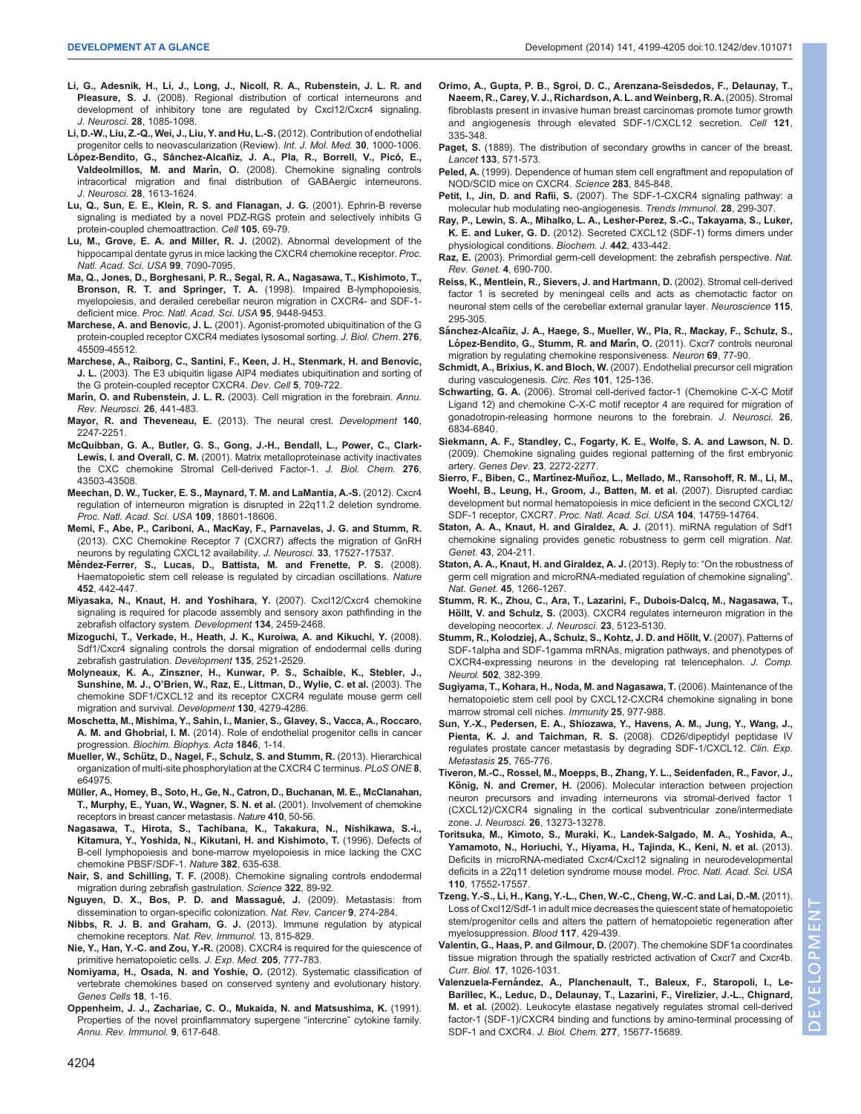- <span id="page-5-0"></span>[Li, G., Adesnik, H., Li, J., Long, J., Nicoll, R. A., Rubenstein, J. L. R. and](http://dx.doi.org/10.1523/JNEUROSCI.4602-07.2008) Pleasure, S. J. [\(2008\). Regional distribution of cortical interneurons and](http://dx.doi.org/10.1523/JNEUROSCI.4602-07.2008) [development of inhibitory tone are regulated by Cxcl12/Cxcr4 signaling.](http://dx.doi.org/10.1523/JNEUROSCI.4602-07.2008) J. Neurosci. 28[, 1085-1098.](http://dx.doi.org/10.1523/JNEUROSCI.4602-07.2008)
- [Li, D.-W., Liu, Z.-Q., Wei, J., Liu, Y. and Hu, L.-S.](http://dx.doi.org/10.3892/ijmm.2012.1108) (2012). Contribution of endothelial [progenitor cells to neovascularization \(Review\).](http://dx.doi.org/10.3892/ijmm.2012.1108) Int. J. Mol. Med. 30, 1000-1006.
- López-Bendito, G., Sánchez-Alcañiz, J. A., Pla, R., Borrell, V., Picó, E., Valdeolmillos, M. and Marín, O. [\(2008\). Chemokine signaling controls](http://dx.doi.org/10.1523/JNEUROSCI.4651-07.2008) [intracortical migration and final distribution of GABAergic interneurons.](http://dx.doi.org/10.1523/JNEUROSCI.4651-07.2008) J. Neurosci. 28[, 1613-1624.](http://dx.doi.org/10.1523/JNEUROSCI.4651-07.2008)
- [Lu, Q., Sun, E. E., Klein, R. S. and Flanagan, J. G.](http://dx.doi.org/10.1016/S0092-8674(01)00297-5) (2001). Ephrin-B reverse [signaling is mediated by a novel PDZ-RGS protein and selectively inhibits G](http://dx.doi.org/10.1016/S0092-8674(01)00297-5) [protein-coupled chemoattraction.](http://dx.doi.org/10.1016/S0092-8674(01)00297-5) Cell 105, 69-79.
- [Lu, M., Grove, E. A. and Miller, R. J.](http://dx.doi.org/10.1073/pnas.092013799) (2002). Abnormal development of the [hippocampal dentate gyrus in mice lacking the CXCR4 chemokine receptor.](http://dx.doi.org/10.1073/pnas.092013799) Proc. [Natl. Acad. Sci. USA](http://dx.doi.org/10.1073/pnas.092013799) 99, 7090-7095.
- [Ma, Q., Jones, D., Borghesani, P. R., Segal, R. A., Nagasawa, T., Kishimoto, T.,](http://dx.doi.org/10.1073/pnas.95.16.9448) [Bronson, R. T. and Springer, T. A.](http://dx.doi.org/10.1073/pnas.95.16.9448) (1998). Impaired B-lymphopoiesis, [myelopoiesis, and derailed cerebellar neuron migration in CXCR4- and SDF-1-](http://dx.doi.org/10.1073/pnas.95.16.9448) deficient mice. [Proc. Natl. Acad. Sci. USA](http://dx.doi.org/10.1073/pnas.95.16.9448) 95. 9448-9453.
- Marchese, A. and Benovic, J. L. [\(2001\). Agonist-promoted ubiquitination of the G](http://dx.doi.org/10.1074/jbc.C100527200) [protein-coupled receptor CXCR4 mediates lysosomal sorting.](http://dx.doi.org/10.1074/jbc.C100527200) J. Biol. Chem. 276, [45509-45512.](http://dx.doi.org/10.1074/jbc.C100527200)
- [Marchese, A., Raiborg, C., Santini, F., Keen, J. H., Stenmark, H. and Benovic,](http://dx.doi.org/10.1016/S1534-5807(03)00321-6) J. L. [\(2003\). The E3 ubiquitin ligase AIP4 mediates ubiquitination and sorting of](http://dx.doi.org/10.1016/S1534-5807(03)00321-6) [the G protein-coupled receptor CXCR4.](http://dx.doi.org/10.1016/S1534-5807(03)00321-6) Dev. Cell 5, 709-722.
- Marín, O. and Rubenstein, J. L. R. [\(2003\). Cell migration in the forebrain.](http://dx.doi.org/10.1146/annurev.neuro.26.041002.131058) Annu. [Rev. Neurosci.](http://dx.doi.org/10.1146/annurev.neuro.26.041002.131058) 26, 441-483.
- [Mayor, R. and Theveneau, E.](http://dx.doi.org/10.1242/dev.091751) (2013). The neural crest. Development 140, [2247-2251.](http://dx.doi.org/10.1242/dev.091751)
- [McQuibban, G. A., Butler, G. S., Gong, J.-H., Bendall, L., Power, C., Clark-](http://dx.doi.org/10.1074/jbc.M107736200)Lewis, I. and Overall, C. M. [\(2001\). Matrix metalloproteinase activity inactivates](http://dx.doi.org/10.1074/jbc.M107736200) [the CXC chemokine Stromal Cell-derived Factor-1.](http://dx.doi.org/10.1074/jbc.M107736200) J. Biol. Chem. 276, [43503-43508.](http://dx.doi.org/10.1074/jbc.M107736200)
- [Meechan, D. W., Tucker, E. S., Maynard, T. M. and LaMantia, A.-S.](http://dx.doi.org/10.1073/pnas.1211507109) (2012). Cxcr4 [regulation of interneuron migration is disrupted in 22q11.2 deletion syndrome.](http://dx.doi.org/10.1073/pnas.1211507109) [Proc. Natl. Acad. Sci. USA](http://dx.doi.org/10.1073/pnas.1211507109) 109, 18601-18606.
- [Memi, F., Abe, P., Cariboni, A., MacKay, F., Parnavelas, J. G. and Stumm, R.](http://dx.doi.org/10.1523/JNEUROSCI.0857-13.2013) [\(2013\). CXC Chemokine Receptor 7 \(CXCR7\) affects the migration of GnRH](http://dx.doi.org/10.1523/JNEUROSCI.0857-13.2013) [neurons by regulating CXCL12 availability.](http://dx.doi.org/10.1523/JNEUROSCI.0857-13.2013) J. Neurosci. 33, 17527-17537.
- Mé[ndez-Ferrer, S., Lucas, D., Battista, M. and Frenette, P. S.](http://dx.doi.org/10.1038/nature06685) (2008). [Haematopoietic stem cell release is regulated by circadian oscillations.](http://dx.doi.org/10.1038/nature06685) Nature 452[, 442-447.](http://dx.doi.org/10.1038/nature06685)
- [Miyasaka, N., Knaut, H. and Yoshihara, Y.](http://dx.doi.org/10.1242/dev.001958) (2007). Cxcl12/Cxcr4 chemokine [signaling is required for placode assembly and sensory axon pathfinding in the](http://dx.doi.org/10.1242/dev.001958) [zebrafish olfactory system.](http://dx.doi.org/10.1242/dev.001958) Development 134, 2459-2468.
- [Mizoguchi, T., Verkade, H., Heath, J. K., Kuroiwa, A. and Kikuchi, Y.](http://dx.doi.org/10.1242/dev.020107) (2008). [Sdf1/Cxcr4 signaling controls the dorsal migration of endodermal cells during](http://dx.doi.org/10.1242/dev.020107) [zebrafish gastrulation.](http://dx.doi.org/10.1242/dev.020107) Development 135, 2521-2529.
- [Molyneaux, K. A., Zinszner, H., Kunwar, P. S., Schaible, K., Stebler, J.,](http://dx.doi.org/10.1242/dev.00640) Sunshine, M. J., O'[Brien, W., Raz, E., Littman, D., Wylie, C. et al.](http://dx.doi.org/10.1242/dev.00640) (2003). The [chemokine SDF1/CXCL12 and its receptor CXCR4 regulate mouse germ cell](http://dx.doi.org/10.1242/dev.00640) [migration and survival.](http://dx.doi.org/10.1242/dev.00640) Development 130, 4279-4286.
- Moschetta, M., Mishima, Y., Sahin, I., Manier, S., Glavey, S., Vacca, A., Roccaro, A. M. and Ghobrial, I. M. (2014). Role of endothelial progenitor cells in cancer progression. Biochim. Biophys. Acta 1846, 1-14.
- Mueller, W., Schü[tz, D., Nagel, F., Schulz, S. and Stumm, R.](http://dx.doi.org/10.1371/journal.pone.0064975) (2013). Hierarchical [organization of multi-site phosphorylation at the CXCR4 C terminus.](http://dx.doi.org/10.1371/journal.pone.0064975) PLoS ONE 8, [e64975.](http://dx.doi.org/10.1371/journal.pone.0064975)
- Mü[ller, A., Homey, B., Soto, H., Ge, N., Catron, D., Buchanan, M. E., McClanahan,](http://dx.doi.org/10.1038/35065016) [T., Murphy, E., Yuan, W., Wagner, S. N. et al.](http://dx.doi.org/10.1038/35065016) (2001). Involvement of chemokine [receptors in breast cancer metastasis.](http://dx.doi.org/10.1038/35065016) Nature 410, 50-56.
- [Nagasawa, T., Hirota, S., Tachibana, K., Takakura, N., Nishikawa, S.-i.,](http://dx.doi.org/10.1038/382635a0) [Kitamura, Y., Yoshida, N., Kikutani, H. and Kishimoto, T.](http://dx.doi.org/10.1038/382635a0) (1996). Defects of [B-cell lymphopoiesis and bone-marrow myelopoiesis in mice lacking the CXC](http://dx.doi.org/10.1038/382635a0) [chemokine PBSF/SDF-1.](http://dx.doi.org/10.1038/382635a0) Nature 382, 635-638.
- Nair, S. and Schilling, T. F. [\(2008\). Chemokine signaling controls endodermal](http://dx.doi.org/10.1126/science.1160038) [migration during zebrafish gastrulation.](http://dx.doi.org/10.1126/science.1160038) Science 322, 89-92.
- Nguyen, D. X., Bos, P. D. and Massagué, J. (2009). Metastasis: from [dissemination to organ-specific colonization.](http://dx.doi.org/10.1038/nrc2622) Nat. Rev. Cancer 9, 274-284.
- Nibbs, R. J. B. and Graham, G. J. (2013). Immune regulation by atypical chemokine receptors. Nat. Rev. Immunol. 13, 815-829.
- Nie, Y., Han, Y.-C. and Zou, Y.-R. [\(2008\). CXCR4 is required for the quiescence of](http://dx.doi.org/10.1084/jem.20072513) [primitive hematopoietic cells.](http://dx.doi.org/10.1084/jem.20072513) J. Exp. Med. 205, 777-783.
- [Nomiyama, H., Osada, N. and Yoshie, O.](http://dx.doi.org/10.1111/gtc.12013) (2012). Systematic classification of [vertebrate chemokines based on conserved synteny and evolutionary history.](http://dx.doi.org/10.1111/gtc.12013) [Genes Cells](http://dx.doi.org/10.1111/gtc.12013) 18, 1-16.
- [Oppenheim, J. J., Zachariae, C. O., Mukaida, N. and Matsushima, K.](http://dx.doi.org/10.1146/annurev.iy.09.040191.003153) (1991). [Properties of the novel proinflammatory supergene](http://dx.doi.org/10.1146/annurev.iy.09.040191.003153) "intercrine" cytokine family. [Annu. Rev. Immunol.](http://dx.doi.org/10.1146/annurev.iy.09.040191.003153) 9, 617-648.
- [Orimo, A., Gupta, P. B., Sgroi, D. C., Arenzana-Seisdedos, F., Delaunay, T.,](http://dx.doi.org/10.1016/j.cell.2005.02.034) [Naeem, R., Carey, V. J., Richardson, A. L. and Weinberg, R. A.](http://dx.doi.org/10.1016/j.cell.2005.02.034)(2005). Stromal [fibroblasts present in invasive human breast carcinomas promote tumor growth](http://dx.doi.org/10.1016/j.cell.2005.02.034) [and angiogenesis through elevated SDF-1/CXCL12 secretion.](http://dx.doi.org/10.1016/j.cell.2005.02.034) Cell 121, [335-348.](http://dx.doi.org/10.1016/j.cell.2005.02.034)
- Paget, S. [\(1889\). The distribution of secondary growths in cancer of the breast.](http://dx.doi.org/10.1016/S0140-6736(00)49915-0) Lancet 133[, 571-573.](http://dx.doi.org/10.1016/S0140-6736(00)49915-0)
- Peled, A. [\(1999\). Dependence of human stem cell engraftment and repopulation of](http://dx.doi.org/10.1126/science.283.5403.845) [NOD/SCID mice on CXCR4.](http://dx.doi.org/10.1126/science.283.5403.845) Science 283, 845-848.
- Petit, I., Jin, D. and Rafii, S. [\(2007\). The SDF-1-CXCR4 signaling pathway: a](http://dx.doi.org/10.1016/j.it.2007.05.007) [molecular hub modulating neo-angiogenesis.](http://dx.doi.org/10.1016/j.it.2007.05.007) Trends Immunol. 28, 299-307.
- [Ray, P., Lewin, S. A., Mihalko, L. A., Lesher-Perez, S.-C., Takayama, S., Luker,](http://dx.doi.org/10.1042/BJ20111341) K. E. and Luker, G. D. [\(2012\). Secreted CXCL12 \(SDF-1\) forms dimers under](http://dx.doi.org/10.1042/BJ20111341) [physiological conditions.](http://dx.doi.org/10.1042/BJ20111341) Biochem. J. 442, 433-442.
- Raz, E. [\(2003\). Primordial germ-cell development: the zebrafish perspective.](http://dx.doi.org/10.1038/nrg1154) Nat. [Rev. Genet.](http://dx.doi.org/10.1038/nrg1154) 4, 690-700.
- [Reiss, K., Mentlein, R., Sievers, J. and Hartmann, D.](http://dx.doi.org/10.1016/S0306-4522(02)00307-X) (2002). Stromal cell-derived [factor 1 is secreted by meningeal cells and acts as chemotactic factor on](http://dx.doi.org/10.1016/S0306-4522(02)00307-X) [neuronal stem cells of the cerebellar external granular layer.](http://dx.doi.org/10.1016/S0306-4522(02)00307-X) Neuroscience 115, [295-305.](http://dx.doi.org/10.1016/S0306-4522(02)00307-X)
- Sánchez-Alcañ[iz, J. A., Haege, S., Mueller, W., Pla, R., Mackay, F., Schulz, S.,](http://dx.doi.org/10.1016/j.neuron.2010.12.006) Ló[pez-Bendito, G., Stumm, R. and Mar](http://dx.doi.org/10.1016/j.neuron.2010.12.006)ín, O. (2011). Cxcr7 controls neuronal [migration by regulating chemokine responsiveness.](http://dx.doi.org/10.1016/j.neuron.2010.12.006) Neuron 69, 77-90.
- Schmidt, A., Brixius, K. and Bloch, W. [\(2007\). Endothelial precursor cell migration](http://dx.doi.org/10.1161/CIRCRESAHA.107.148932) [during vasculogenesis.](http://dx.doi.org/10.1161/CIRCRESAHA.107.148932) Circ. Res 101, 125-136.
- Schwarting, G. A. [\(2006\). Stromal cell-derived factor-1 \(Chemokine C-X-C Motif](http://dx.doi.org/10.1523/JNEUROSCI.1728-06.2006) [Ligand 12\) and chemokine C-X-C motif receptor 4 are required for migration of](http://dx.doi.org/10.1523/JNEUROSCI.1728-06.2006) [gonadotropin-releasing hormone neurons to the forebrain.](http://dx.doi.org/10.1523/JNEUROSCI.1728-06.2006) J. Neurosci. 26, [6834-6840.](http://dx.doi.org/10.1523/JNEUROSCI.1728-06.2006)
- [Siekmann, A. F., Standley, C., Fogarty, K. E., Wolfe, S. A. and Lawson, N. D.](http://dx.doi.org/10.1101/gad.1813509) [\(2009\). Chemokine signaling guides regional patterning of the first embryonic](http://dx.doi.org/10.1101/gad.1813509) artery. Genes Dev. 23[, 2272-2277.](http://dx.doi.org/10.1101/gad.1813509)
- Sierro, F., Biben, C., Martínez-Muñ[oz, L., Mellado, M., Ransohoff, R. M., Li, M.,](http://dx.doi.org/10.1073/pnas.0702229104) [Woehl, B., Leung, H., Groom, J., Batten, M. et al.](http://dx.doi.org/10.1073/pnas.0702229104) (2007). Disrupted cardiac [development but normal hematopoiesis in mice deficient in the second CXCL12/](http://dx.doi.org/10.1073/pnas.0702229104) SDF-1 receptor, CXCR7. [Proc. Natl. Acad. Sci. USA](http://dx.doi.org/10.1073/pnas.0702229104) 104, 14759-14764.
- [Staton, A. A., Knaut, H. and Giraldez, A. J.](http://dx.doi.org/10.1038/ng.758) (2011). miRNA regulation of Sdf1 [chemokine signaling provides genetic robustness to germ cell migration.](http://dx.doi.org/10.1038/ng.758) Nat. Genet. 43[, 204-211.](http://dx.doi.org/10.1038/ng.758)
- [Staton, A. A., Knaut, H. and Giraldez, A. J.](http://dx.doi.org/10.1038/ng.2812) (2013). Reply to: "On the robustness of [germ cell migration and microRNA-mediated regulation of chemokine signaling](http://dx.doi.org/10.1038/ng.2812)". Nat. Genet. 45[, 1266-1267.](http://dx.doi.org/10.1038/ng.2812)
- Stumm, R. K., Zhou, C., Ara, T., Lazarini, F., Dubois-Dalcq, M., Nagasawa, T., Höllt, V. and Schulz, S. (2003). CXCR4 regulates interneuron migration in the developing neocortex. J. Neurosci. 23, 5123-5130.
- Stumm, R., Kolodziej, A., Schulz, S., Kohtz, J. D. and Höllt, V. (2007). Patterns of [SDF-1alpha and SDF-1gamma mRNAs, migration pathways, and phenotypes of](http://dx.doi.org/10.1002/cne.21336) [CXCR4-expressing neurons in the developing rat telencephalon.](http://dx.doi.org/10.1002/cne.21336) J. Comp. Neurol. 502[, 382-399.](http://dx.doi.org/10.1002/cne.21336)
- [Sugiyama, T., Kohara, H., Noda, M. and Nagasawa, T.](http://dx.doi.org/10.1016/j.immuni.2006.10.016) (2006). Maintenance of the [hematopoietic stem cell pool by CXCL12-CXCR4 chemokine signaling in bone](http://dx.doi.org/10.1016/j.immuni.2006.10.016) [marrow stromal cell niches.](http://dx.doi.org/10.1016/j.immuni.2006.10.016) Immunity 25, 977-988.
- [Sun, Y.-X., Pedersen, E. A., Shiozawa, Y., Havens, A. M., Jung, Y., Wang, J.,](http://dx.doi.org/10.1007/s10585-008-9188-9) [Pienta, K. J. and Taichman, R. S.](http://dx.doi.org/10.1007/s10585-008-9188-9) (2008). CD26/dipeptidyl peptidase IV [regulates prostate cancer metastasis by degrading SDF-1/CXCL12.](http://dx.doi.org/10.1007/s10585-008-9188-9) Clin. Exp. [Metastasis](http://dx.doi.org/10.1007/s10585-008-9188-9) 25, 765-776.
- [Tiveron, M.-C., Rossel, M., Moepps, B., Zhang, Y. L., Seidenfaden, R., Favor, J.,](http://dx.doi.org/10.1523/JNEUROSCI.4162-06.2006) König, N. and Cremer, H. [\(2006\). Molecular interaction between projection](http://dx.doi.org/10.1523/JNEUROSCI.4162-06.2006) [neuron precursors and invading interneurons via stromal-derived factor 1](http://dx.doi.org/10.1523/JNEUROSCI.4162-06.2006) [\(CXCL12\)/CXCR4 signaling in the cortical subventricular zone/intermediate](http://dx.doi.org/10.1523/JNEUROSCI.4162-06.2006) zone. J. Neurosci. 26[, 13273-13278.](http://dx.doi.org/10.1523/JNEUROSCI.4162-06.2006)
- [Toritsuka, M., Kimoto, S., Muraki, K., Landek-Salgado, M. A., Yoshida, A.,](http://dx.doi.org/10.1073/pnas.1312661110) [Yamamoto, N., Horiuchi, Y., Hiyama, H., Tajinda, K., Keni, N. et al.](http://dx.doi.org/10.1073/pnas.1312661110) (2013). [Deficits in microRNA-mediated Cxcr4/Cxcl12 signaling in neurodevelopmental](http://dx.doi.org/10.1073/pnas.1312661110) [deficits in a 22q11 deletion syndrome mouse model.](http://dx.doi.org/10.1073/pnas.1312661110) Proc. Natl. Acad. Sci. USA 110[, 17552-17557.](http://dx.doi.org/10.1073/pnas.1312661110)
- [Tzeng, Y.-S., Li, H., Kang, Y.-L., Chen, W.-C., Cheng, W.-C. and Lai, D.-M.](http://dx.doi.org/10.1182/blood-2010-01-266833) (2011). [Loss of Cxcl12/Sdf-1 in adult mice decreases the quiescent state of hematopoietic](http://dx.doi.org/10.1182/blood-2010-01-266833) [stem/progenitor cells and alters the pattern of hematopoietic regeneration after](http://dx.doi.org/10.1182/blood-2010-01-266833) [myelosuppression.](http://dx.doi.org/10.1182/blood-2010-01-266833) Blood 117, 429-439.
- Valentin, G., Haas, P. and Gilmour, D. [\(2007\). The chemokine SDF1a coordinates](http://dx.doi.org/10.1016/j.cub.2007.05.020) [tissue migration through the spatially restricted activation of Cxcr7 and Cxcr4b.](http://dx.doi.org/10.1016/j.cub.2007.05.020) Curr. Biol. 17[, 1026-1031.](http://dx.doi.org/10.1016/j.cub.2007.05.020)
- Valenzuela-Ferná[ndez, A., Planchenault, T., Baleux, F., Staropoli, I., Le-](http://dx.doi.org/10.1074/jbc.M111388200)[Barillec, K., Leduc, D., Delaunay, T., Lazarini, F., Virelizier, J.-L., Chignard,](http://dx.doi.org/10.1074/jbc.M111388200) M. et al. [\(2002\). Leukocyte elastase negatively regulates stromal cell-derived](http://dx.doi.org/10.1074/jbc.M111388200) [factor-1 \(SDF-1\)/CXCR4 binding and functions by amino-terminal processing of](http://dx.doi.org/10.1074/jbc.M111388200) [SDF-1 and CXCR4.](http://dx.doi.org/10.1074/jbc.M111388200) J. Biol. Chem. 277, 15677-15689.